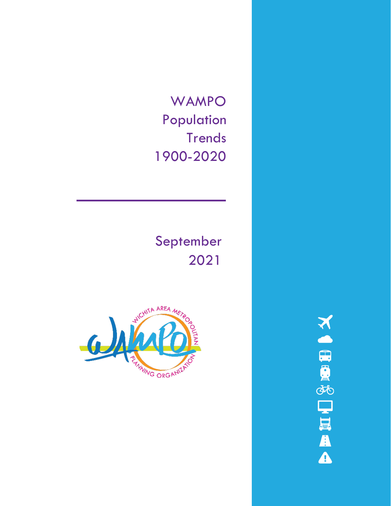WAMPO **Historical** Population **Trends** 1900-2020

# September 2021



**NORD SURFA**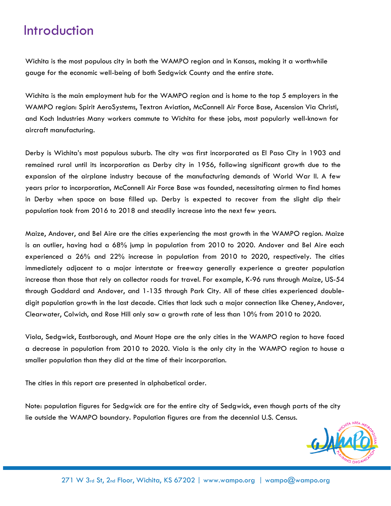### Introduction

Wichita is the most populous city in both the WAMPO region and in Kansas, making it a worthwhile gauge for the economic well-being of both Sedgwick County and the entire state.

Wichita is the main employment hub for the WAMPO region and is home to the top 5 employers in the WAMPO region: Spirit AeroSystems, Textron Aviation, McConnell Air Force Base, Ascension Via Christi, and Koch Industries Many workers commute to Wichita for these jobs, most popularly well-known for aircraft manufacturing.

Derby is Wichita's most populous suburb. The city was first incorporated as El Paso City in 1903 and remained rural until its incorporation as Derby city in 1956, following significant growth due to the expansion of the airplane industry because of the manufacturing demands of World War II. A few years prior to incorporation, McConnell Air Force Base was founded, necessitating airmen to find homes in Derby when space on base filled up. Derby is expected to recover from the slight dip their population took from 2016 to 2018 and steadily increase into the next few years.

Maize, Andover, and Bel Aire are the cities experiencing the most growth in the WAMPO region. Maize is an outlier, having had a 68% jump in population from 2010 to 2020. Andover and Bel Aire each experienced a 26% and 22% increase in population from 2010 to 2020, respectively. The cities immediately adjacent to a major interstate or freeway generally experience a greater population increase than those that rely on collector roads for travel. For example, K-96 runs through Maize, US-54 through Goddard and Andover, and 1-135 through Park City. All of these cities experienced doubledigit population growth in the last decade. Cities that lack such a major connection like Cheney, Andover, Clearwater, Colwich, and Rose Hill only saw a growth rate of less than 10% from 2010 to 2020.

Viola, Sedgwick, Eastborough, and Mount Hope are the only cities in the WAMPO region to have faced a decrease in population from 2010 to 2020. Viola is the only city in the WAMPO region to house a smaller population than they did at the time of their incorporation.

The cities in this report are presented in alphabetical order.

Note: population figures for Sedgwick are for the entire city of Sedgwick, even though parts of the city lie outside the WAMPO boundary. Population figures are from the decennial U.S. Census.

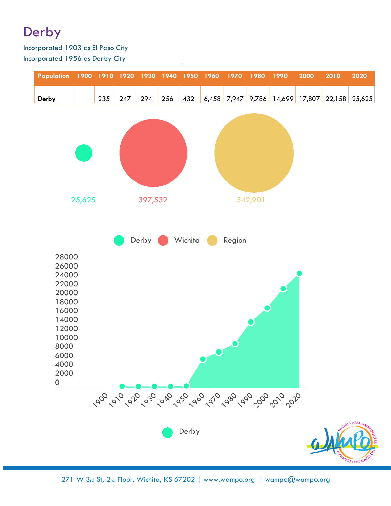### **Introduction**

Wichita is the most populous city in both the WAMPO region and in Kansas, making it a worthwhile gauge for the economic well-being of both Sedgwick County and the entire state.

Wichita is the main employment hub for the WAMPO region and is home to the top 5 employers in the WAMPO region: Spirit AeroSystems, Textron Aviation, McConnell Air Force Base, Ascension Via Christi, and Koch Industries Many workers commute to Wichita for these jobs, most popularly well-known for aircraft manufacturing.

Derby is Wichita's most populous suburb. The city was first incorporated as El Paso City in 1903 and remained rural until its incorporation as Derby city in 1956, following significant growth due to the expansion of the airplane industry because of the manufacturing demands of World War II. A few years prior to incorporation, McConnell Air Force Base was founded, necessitating airmen to find homes in Derby when space on base filled up. Derby is expected to recover from the slight dip their population took from 2016 to 2018 and steadily increase into the next few years.

Maize, Andover, and Bel Aire are the cities experiencing the most growth in the WAMPO region. Maize is an outlier, having had a 68% jump in population from 2010 to 2020. Andover and Bel Aire each experienced a 26% and 22% increase in population from 2010 to 2020, respectively. The cities immediately adjacent to a major interstate or freeway generally experience a greater population increase than those that rely on collector roads for travel. For example, K-96 runs through Maize, US-54 through Goddard and Andover, and 1-135 through Park City. All of these cities experienced doubledigit population growth in the last decade. Cities that lack such a major connection like Cheney, Andover, Clearwater, Colwich, and Rose Hill only saw a growth rate of less than 10% from 2010 to 2020.

Viola, Sedgwick, Eastborough, and Mount Hope are the only cities in the WAMPO region to have faced a decrease in population from 2010 to 2020. Viola is the only city in the WAMPO region to house a smaller population than they did at the time of their incorporation.

The cities in this report are presented in alphabetical order.

Note: population figures for Sedgwick are for the entire city of Sedgwick, even though parts of the city lie outside the WAMPO boundary. Population figures are from the decennial U.S. Census.

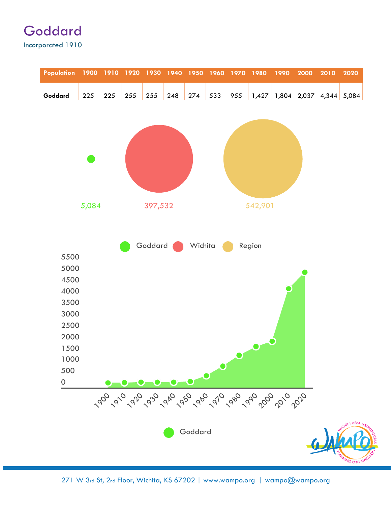| Population          |       |     | 1900 1910 1920 1930 |         | 1940 | 1950                     | 1960          | 1970 | 1980    | 1990                                               | 2000  | 2010 | 2020          |
|---------------------|-------|-----|---------------------|---------|------|--------------------------|---------------|------|---------|----------------------------------------------------|-------|------|---------------|
| Goddard             | 225   | 225 | 255                 | 255     | 248  | 274                      | 533           | 955  | 1,427   | 1,804                                              | 2,037 |      | $4,344$ 5,084 |
|                     |       |     |                     |         |      |                          |               |      |         |                                                    |       |      |               |
|                     |       |     |                     |         |      |                          |               |      |         |                                                    |       |      |               |
|                     |       |     |                     |         |      |                          |               |      |         |                                                    |       |      |               |
|                     |       |     |                     |         |      |                          |               |      |         |                                                    |       |      |               |
|                     |       |     |                     |         |      |                          |               |      |         |                                                    |       |      |               |
|                     |       |     |                     |         |      |                          |               |      |         |                                                    |       |      |               |
|                     | 5,084 |     |                     | 397,532 |      |                          |               |      | 542,901 |                                                    |       |      |               |
|                     |       |     |                     |         |      |                          |               |      |         |                                                    |       |      |               |
|                     |       |     |                     |         |      |                          |               |      |         |                                                    |       |      |               |
| 5500                |       |     |                     | Goddard |      | Wichita                  |               |      | Region  |                                                    |       |      |               |
| 5000                |       |     |                     |         |      |                          |               |      |         |                                                    |       |      |               |
| 4500                |       |     |                     |         |      |                          |               |      |         |                                                    |       |      |               |
| 4000<br>3500        |       |     |                     |         |      |                          |               |      |         |                                                    |       |      |               |
| 3000                |       |     |                     |         |      |                          |               |      |         |                                                    |       |      |               |
| 2500                |       |     |                     |         |      |                          |               |      |         |                                                    |       |      |               |
| 2000<br>1500        |       |     |                     |         |      |                          |               |      |         |                                                    |       |      |               |
| 1000                |       |     |                     |         |      |                          |               |      |         |                                                    |       |      |               |
| 500                 |       |     |                     |         |      |                          | $\rightarrow$ |      |         |                                                    |       |      |               |
| $\mathsf{O}\xspace$ |       |     |                     |         |      | $\overline{\phantom{a}}$ |               |      |         |                                                    |       |      |               |
|                     |       |     |                     |         |      |                          |               |      |         | 190 1910 192 193 1940 195 196 196 196 196 196 1970 |       |      |               |
|                     |       |     |                     |         |      | Goddard                  |               |      |         |                                                    |       |      |               |
|                     |       |     |                     |         |      |                          |               |      |         |                                                    |       |      |               |
|                     |       |     |                     |         |      |                          |               |      |         |                                                    |       |      | WNG ORGAN     |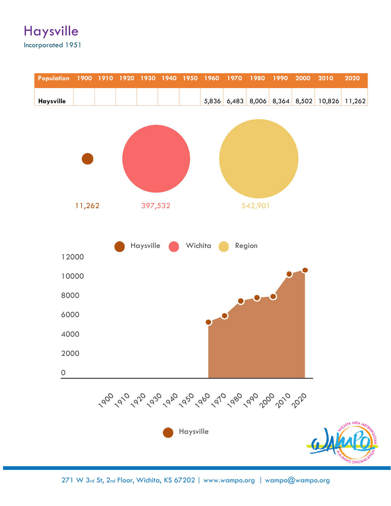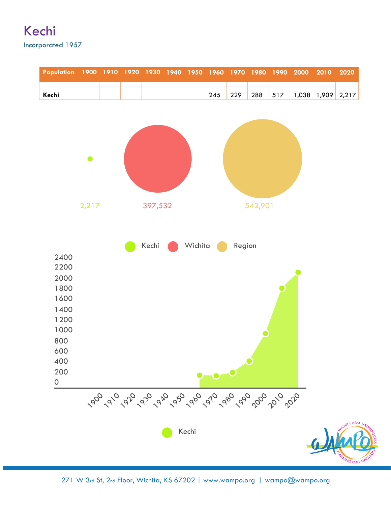#### Kechi Incorporated 1957

| Population          | 1900 1910 1920 |                              |                          | 1930 1940                |   | 1950           | 1960 1970                     |        | 1980    | 1990 | 2000  | 2010  | 2020                 |
|---------------------|----------------|------------------------------|--------------------------|--------------------------|---|----------------|-------------------------------|--------|---------|------|-------|-------|----------------------|
| Kechi               | $\blacksquare$ | $\qquad \qquad \blacksquare$ | $\overline{\phantom{0}}$ | $\overline{\phantom{0}}$ | - | $\blacksquare$ | 245                           | 229    | 288     | 517  | 1,038 | 1,909 | 2,217                |
|                     |                |                              |                          |                          |   |                |                               |        |         |      |       |       |                      |
|                     |                |                              |                          |                          |   |                |                               |        |         |      |       |       |                      |
|                     |                |                              |                          |                          |   |                |                               |        |         |      |       |       |                      |
|                     | $\bullet$      |                              |                          |                          |   |                |                               |        |         |      |       |       |                      |
|                     |                |                              |                          |                          |   |                |                               |        |         |      |       |       |                      |
|                     |                |                              |                          |                          |   |                |                               |        |         |      |       |       |                      |
|                     | 2,217          |                              |                          | 397,532                  |   |                |                               |        | 542,901 |      |       |       |                      |
|                     |                |                              |                          |                          |   |                |                               |        |         |      |       |       |                      |
|                     |                |                              |                          |                          |   |                |                               |        |         |      |       |       |                      |
|                     |                |                              |                          | Kechi                    |   | Wichita        |                               | Region |         |      |       |       |                      |
| 2400<br>2200        |                |                              |                          |                          |   |                |                               |        |         |      |       |       |                      |
| 2000                |                |                              |                          |                          |   |                |                               |        |         |      |       |       |                      |
| 1800<br>1600        |                |                              |                          |                          |   |                |                               |        |         |      |       |       |                      |
| 1400                |                |                              |                          |                          |   |                |                               |        |         |      |       |       |                      |
| 1200                |                |                              |                          |                          |   |                |                               |        |         |      |       |       |                      |
| 1000<br>800         |                |                              |                          |                          |   |                |                               |        |         |      |       |       |                      |
| 600                 |                |                              |                          |                          |   |                |                               |        |         |      |       |       |                      |
| 400<br>200          |                |                              |                          |                          |   |                | $\bullet$ $\bullet$ $\bullet$ |        |         |      |       |       |                      |
| $\mathsf{O}\xspace$ |                |                              |                          |                          |   |                |                               |        |         |      |       |       |                      |
|                     |                |                              |                          |                          |   |                |                               |        |         |      |       |       |                      |
|                     |                |                              |                          |                          |   | Kechi          |                               |        |         |      |       |       | A AREA               |
|                     |                |                              |                          |                          |   |                |                               |        |         |      |       |       |                      |
|                     |                |                              |                          |                          |   |                |                               |        |         |      |       |       | <b>WING ORGANIZA</b> |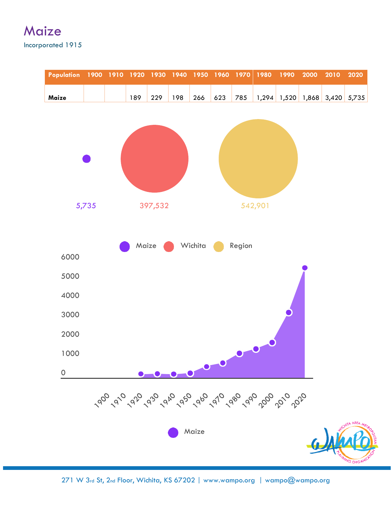#### **Maize** Incorporated 1915

| <b>Population</b> |                              |                              | 1900 1910 1920 | 1930    | 1940 | 1950    | 1960 | 1970   | $\frac{1980}{ }$                                     | 1990  | 2000  | 2010          | 2020            |
|-------------------|------------------------------|------------------------------|----------------|---------|------|---------|------|--------|------------------------------------------------------|-------|-------|---------------|-----------------|
| Maize             | $\qquad \qquad \blacksquare$ | $\qquad \qquad \blacksquare$ | 189            | 229     | 198  | 266     | 623  | 785    | 1,294                                                | 1,520 | 1,868 | $3,420$ 5,735 |                 |
|                   |                              |                              |                |         |      |         |      |        |                                                      |       |       |               |                 |
|                   |                              |                              |                |         |      |         |      |        |                                                      |       |       |               |                 |
|                   |                              |                              |                |         |      |         |      |        |                                                      |       |       |               |                 |
|                   |                              |                              |                |         |      |         |      |        |                                                      |       |       |               |                 |
|                   | 5,735                        |                              |                | 397,532 |      |         |      |        | 542,901                                              |       |       |               |                 |
|                   |                              |                              |                |         |      |         |      |        |                                                      |       |       |               |                 |
|                   |                              |                              | Maize          |         |      | Wichita |      | Region |                                                      |       |       |               |                 |
| 6000              |                              |                              |                |         |      |         |      |        |                                                      |       |       |               |                 |
| 5000              |                              |                              |                |         |      |         |      |        |                                                      |       |       |               |                 |
| 4000              |                              |                              |                |         |      |         |      |        |                                                      |       |       |               |                 |
| 3000              |                              |                              |                |         |      |         |      |        |                                                      |       |       |               |                 |
| 2000              |                              |                              |                |         |      |         |      |        |                                                      |       |       |               |                 |
| 1000              |                              |                              |                |         |      |         |      |        |                                                      |       |       |               |                 |
| $\overline{O}$    |                              |                              |                |         |      | 0000    |      |        |                                                      |       |       |               |                 |
|                   |                              |                              |                |         |      |         |      |        | 190 1910 192 1930 1940 1950 1960 1960 1960 1970 1970 |       |       |               |                 |
|                   |                              |                              |                |         |      | Maize   |      |        |                                                      |       |       |               |                 |
|                   |                              |                              |                |         |      |         |      |        |                                                      |       |       |               | <b>WG ORGAN</b> |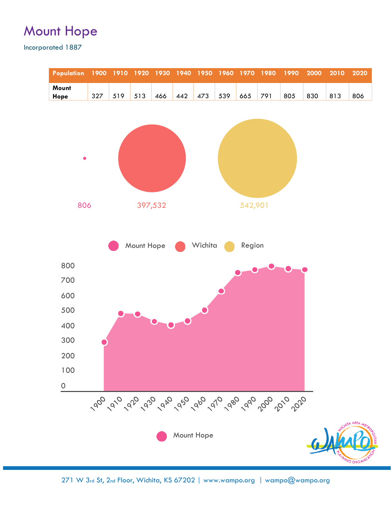### Mount Hope

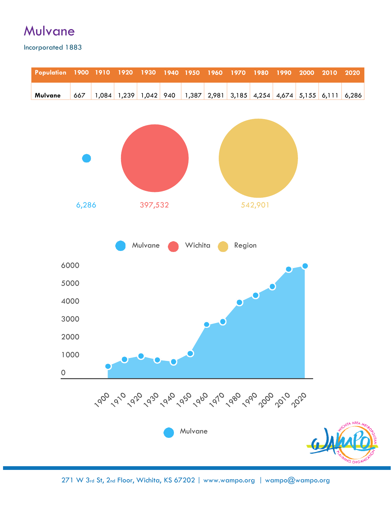# Mulvane

| <b>Population</b>   |              | 1900 1910 | 1920                                               | 1930    | 1940 | 1950    | 1960  | 1970   | 1980      | 1990 | 2000                | 2010 | 2020                 |
|---------------------|--------------|-----------|----------------------------------------------------|---------|------|---------|-------|--------|-----------|------|---------------------|------|----------------------|
| Mulvane             | 667          | 1,084     | 1,239                                              | 1,042   | 940  | 1,387   | 2,981 | 3,185  | 4,254     |      | $4,674$ 5,155 6,111 |      | 6,286                |
|                     |              |           |                                                    |         |      |         |       |        |           |      |                     |      |                      |
|                     |              |           |                                                    |         |      |         |       |        |           |      |                     |      |                      |
|                     |              |           |                                                    |         |      |         |       |        |           |      |                     |      |                      |
|                     |              |           |                                                    |         |      |         |       |        |           |      |                     |      |                      |
|                     |              |           |                                                    |         |      |         |       |        |           |      |                     |      |                      |
|                     | 6,286        |           |                                                    | 397,532 |      |         |       |        | 542,901   |      |                     |      |                      |
|                     |              |           |                                                    |         |      |         |       |        |           |      |                     |      |                      |
|                     |              |           |                                                    | Mulvane |      | Wichita |       | Region |           |      |                     |      |                      |
|                     |              |           |                                                    |         |      |         |       |        |           |      |                     |      |                      |
|                     | 6000         |           |                                                    |         |      |         |       |        |           |      |                     |      |                      |
|                     | 5000<br>4000 |           |                                                    |         |      |         |       |        | $\bullet$ |      |                     |      |                      |
|                     | 3000         |           |                                                    |         |      |         |       |        |           |      |                     |      |                      |
|                     | 2000         |           |                                                    |         |      |         |       |        |           |      |                     |      |                      |
|                     | 1000         |           |                                                    |         |      |         |       |        |           |      |                     |      |                      |
| $\mathsf{O}\xspace$ |              |           |                                                    |         |      |         |       |        |           |      |                     |      |                      |
|                     |              |           |                                                    |         |      |         |       |        |           |      |                     |      |                      |
|                     |              |           | 190 1910 192 193 1940 195 196 196 196 196 196 1970 |         |      |         |       |        |           |      |                     |      |                      |
|                     |              |           |                                                    |         |      | Mulvane |       |        |           |      |                     |      |                      |
|                     |              |           |                                                    |         |      |         |       |        |           |      |                     |      |                      |
|                     |              |           |                                                    |         |      |         |       |        |           |      |                     |      | <b>MING ORGANIZA</b> |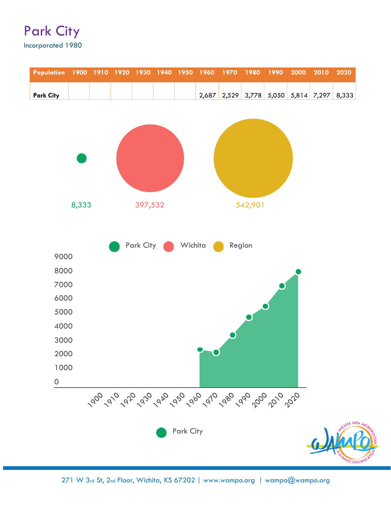#### Park City Incorporated 1980

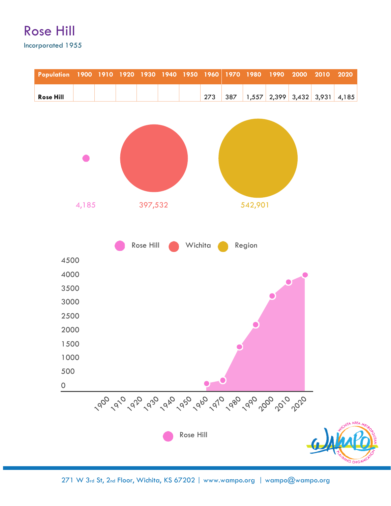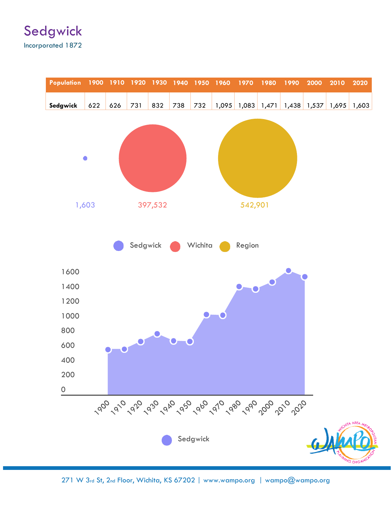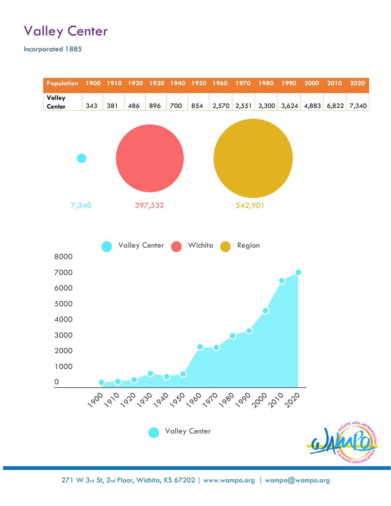### Valley Center

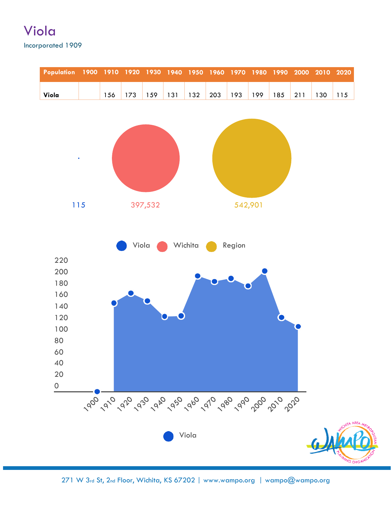#### Viola Incorporated 1909

| <b>Population</b>   |                | 1900 1910 | 1920 1930 |         | 1940 | 1950    | 1960 | 1970                                              | 1980    | 1990 | 2000 | 2010     | 2020            |
|---------------------|----------------|-----------|-----------|---------|------|---------|------|---------------------------------------------------|---------|------|------|----------|-----------------|
| Viola               | $\blacksquare$ | 156       | 173       | 159     | 131  | 132     | 203  | 193                                               | 199     | 185  | 211  | 130      | 115             |
|                     |                |           |           |         |      |         |      |                                                   |         |      |      |          |                 |
|                     |                |           |           |         |      |         |      |                                                   |         |      |      |          |                 |
|                     |                |           |           |         |      |         |      |                                                   |         |      |      |          |                 |
| $\bullet$           |                |           |           |         |      |         |      |                                                   |         |      |      |          |                 |
|                     |                |           |           |         |      |         |      |                                                   |         |      |      |          |                 |
|                     |                |           |           |         |      |         |      |                                                   |         |      |      |          |                 |
|                     |                |           |           |         |      |         |      |                                                   |         |      |      |          |                 |
| 115                 |                |           |           | 397,532 |      |         |      |                                                   | 542,901 |      |      |          |                 |
|                     |                |           |           |         |      |         |      |                                                   |         |      |      |          |                 |
|                     |                |           |           |         |      |         |      |                                                   |         |      |      |          |                 |
|                     |                |           | Viola     |         |      | Wichita |      | Region                                            |         |      |      |          |                 |
| 220                 |                |           |           |         |      |         |      |                                                   |         |      |      |          |                 |
| 200<br>180          |                |           |           |         |      |         |      |                                                   |         |      |      |          |                 |
| 160                 |                |           |           |         |      |         |      |                                                   |         |      |      |          |                 |
| 140                 |                |           |           |         |      |         |      |                                                   |         |      |      |          |                 |
| 120                 |                |           |           |         |      |         |      |                                                   |         |      |      |          |                 |
| 100                 |                |           |           |         |      |         |      |                                                   |         |      |      |          |                 |
| 80<br>60            |                |           |           |         |      |         |      |                                                   |         |      |      |          |                 |
| 40                  |                |           |           |         |      |         |      |                                                   |         |      |      |          |                 |
| 20                  |                |           |           |         |      |         |      |                                                   |         |      |      |          |                 |
| $\mathsf{O}\xspace$ |                |           |           |         |      |         |      |                                                   |         |      |      |          |                 |
|                     |                |           |           |         |      |         |      | 1900 1910 1920 1940 1950 1960 1960 1960 1960 1970 |         |      |      |          |                 |
|                     |                |           |           |         |      |         |      |                                                   |         |      |      |          |                 |
|                     |                |           |           |         |      |         |      |                                                   |         |      |      |          |                 |
|                     |                |           |           |         |      | Viola   |      |                                                   |         |      |      | $\omega$ |                 |
|                     |                |           |           |         |      |         |      |                                                   |         |      |      |          | <b>ING ORGA</b> |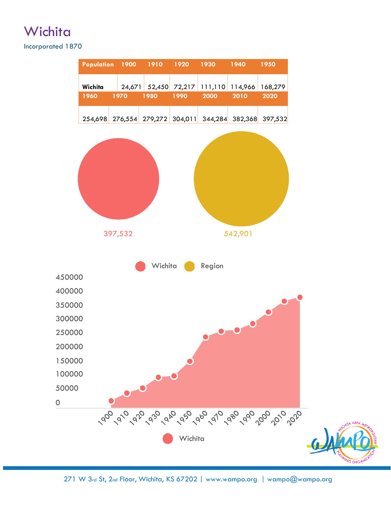# **Wichita**

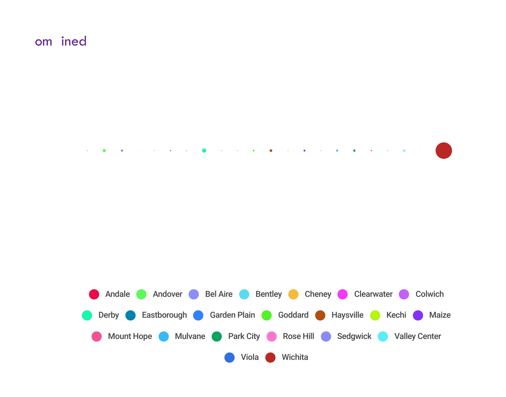### Combined



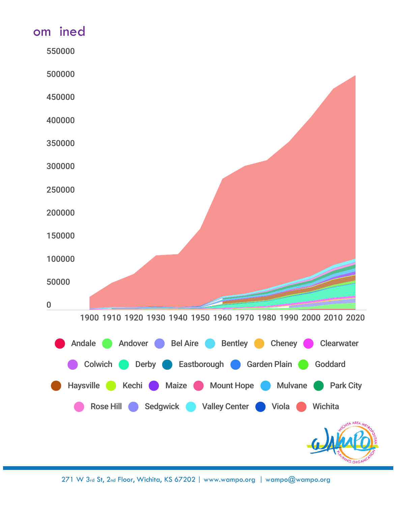# Combined